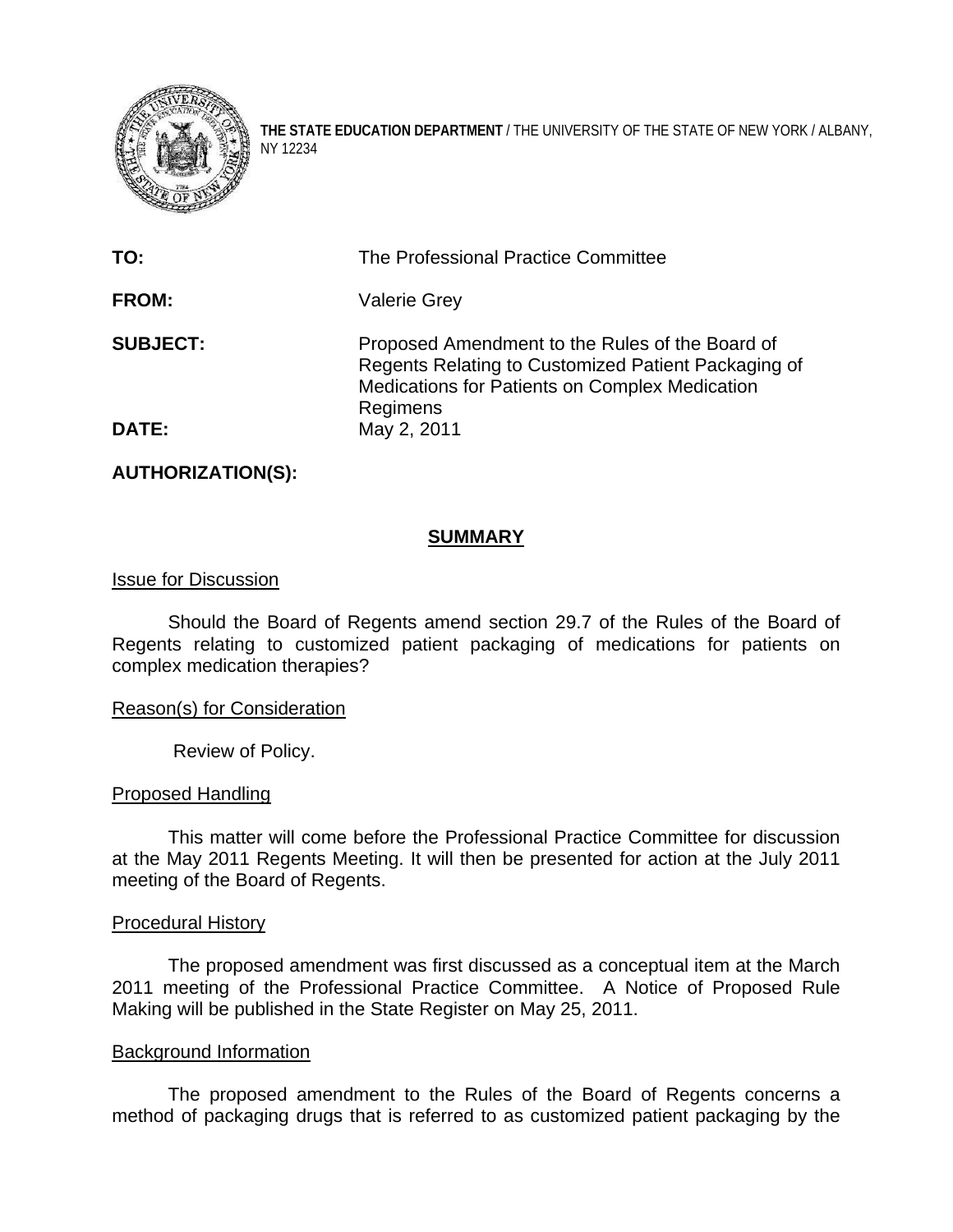

**THE STATE EDUCATION DEPARTMENT** / THE UNIVERSITY OF THE STATE OF NEW YORK / ALBANY, NY 12234

| TO:             | The Professional Practice Committee                                                                                                                                  |
|-----------------|----------------------------------------------------------------------------------------------------------------------------------------------------------------------|
| <b>FROM:</b>    | <b>Valerie Grey</b>                                                                                                                                                  |
| <b>SUBJECT:</b> | Proposed Amendment to the Rules of the Board of<br>Regents Relating to Customized Patient Packaging of<br>Medications for Patients on Complex Medication<br>Regimens |
| <b>DATE:</b>    | May 2, 2011                                                                                                                                                          |

**AUTHORIZATION(S):** 

## **SUMMARY**

### Issue for Discussion

 Should the Board of Regents amend section 29.7 of the Rules of the Board of Regents relating to customized patient packaging of medications for patients on complex medication therapies?

## Reason(s) for Consideration

Review of Policy.

#### Proposed Handling

This matter will come before the Professional Practice Committee for discussion at the May 2011 Regents Meeting. It will then be presented for action at the July 2011 meeting of the Board of Regents.

#### Procedural History

 The proposed amendment was first discussed as a conceptual item at the March 2011 meeting of the Professional Practice Committee. A Notice of Proposed Rule Making will be published in the State Register on May 25, 2011.

#### Background Information

The proposed amendment to the Rules of the Board of Regents concerns a method of packaging drugs that is referred to as customized patient packaging by the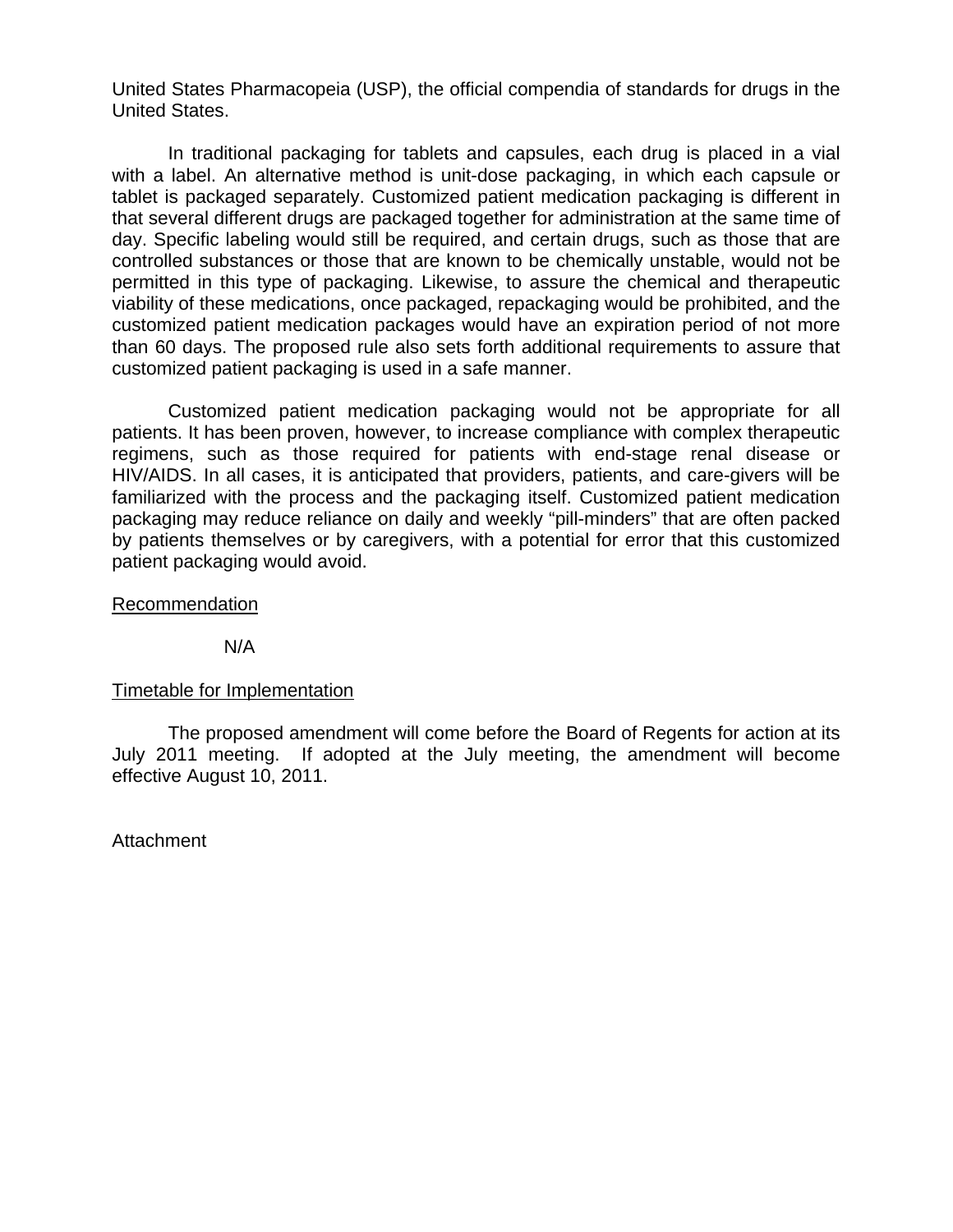United States Pharmacopeia (USP), the official compendia of standards for drugs in the United States.

In traditional packaging for tablets and capsules, each drug is placed in a vial with a label. An alternative method is unit-dose packaging, in which each capsule or tablet is packaged separately. Customized patient medication packaging is different in that several different drugs are packaged together for administration at the same time of day. Specific labeling would still be required, and certain drugs, such as those that are controlled substances or those that are known to be chemically unstable, would not be permitted in this type of packaging. Likewise, to assure the chemical and therapeutic viability of these medications, once packaged, repackaging would be prohibited, and the customized patient medication packages would have an expiration period of not more than 60 days. The proposed rule also sets forth additional requirements to assure that customized patient packaging is used in a safe manner.

Customized patient medication packaging would not be appropriate for all patients. It has been proven, however, to increase compliance with complex therapeutic regimens, such as those required for patients with end-stage renal disease or HIV/AIDS. In all cases, it is anticipated that providers, patients, and care-givers will be familiarized with the process and the packaging itself. Customized patient medication packaging may reduce reliance on daily and weekly "pill-minders" that are often packed by patients themselves or by caregivers, with a potential for error that this customized patient packaging would avoid.

## Recommendation

N/A

## Timetable for Implementation

 The proposed amendment will come before the Board of Regents for action at its July 2011 meeting. If adopted at the July meeting, the amendment will become effective August 10, 2011.

Attachment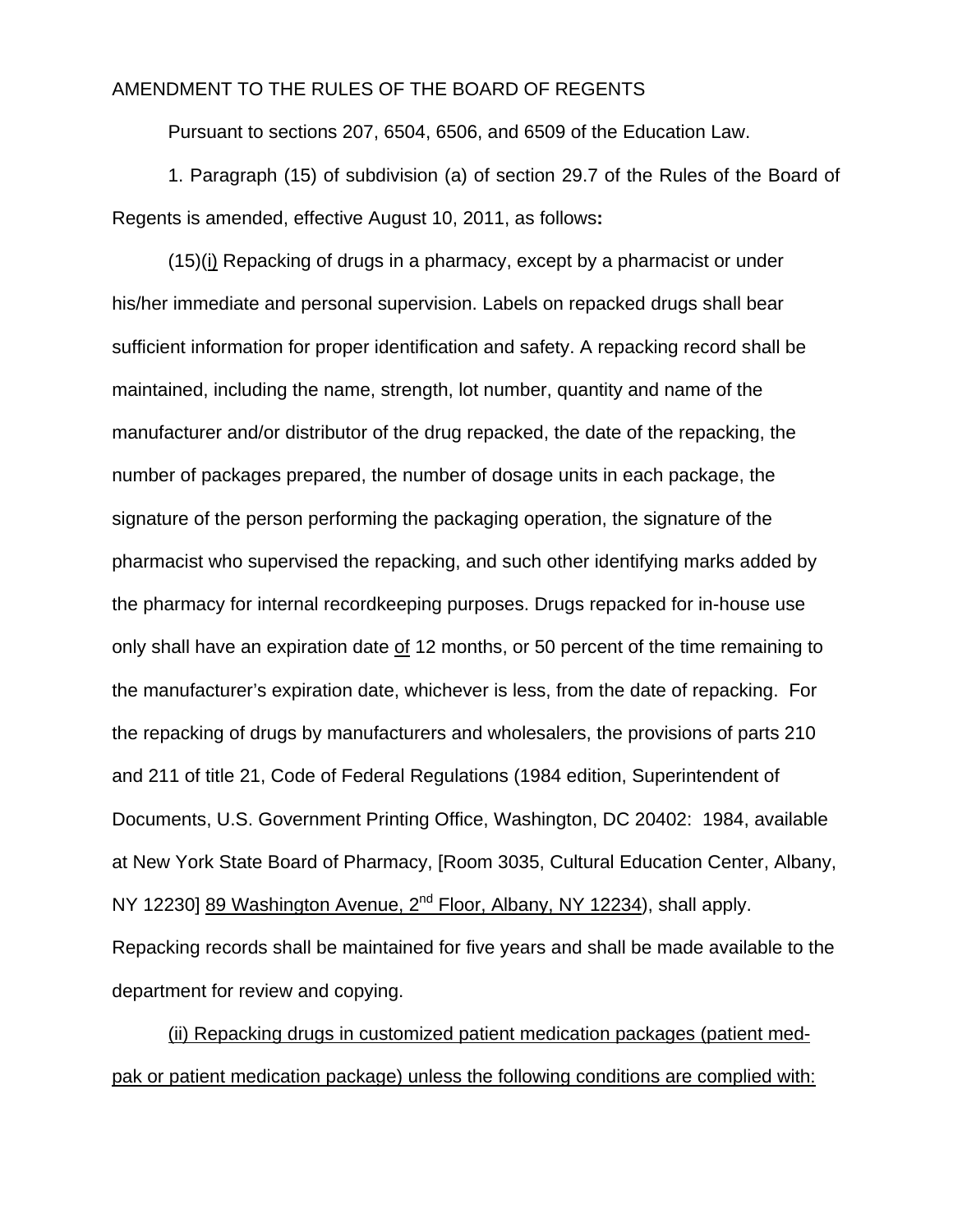# AMENDMENT TO THE RULES OF THE BOARD OF REGENTS

Pursuant to sections 207, 6504, 6506, and 6509 of the Education Law.

1. Paragraph (15) of subdivision (a) of section 29.7 of the Rules of the Board of Regents is amended, effective August 10, 2011, as follows**:**

(15)(i) Repacking of drugs in a pharmacy, except by a pharmacist or under his/her immediate and personal supervision. Labels on repacked drugs shall bear sufficient information for proper identification and safety. A repacking record shall be maintained, including the name, strength, lot number, quantity and name of the manufacturer and/or distributor of the drug repacked, the date of the repacking, the number of packages prepared, the number of dosage units in each package, the signature of the person performing the packaging operation, the signature of the pharmacist who supervised the repacking, and such other identifying marks added by the pharmacy for internal recordkeeping purposes. Drugs repacked for in-house use only shall have an expiration date of 12 months, or 50 percent of the time remaining to the manufacturer's expiration date, whichever is less, from the date of repacking. For the repacking of drugs by manufacturers and wholesalers, the provisions of parts 210 and 211 of title 21, Code of Federal Regulations (1984 edition, Superintendent of Documents, U.S. Government Printing Office, Washington, DC 20402: 1984, available at New York State Board of Pharmacy, [Room 3035, Cultural Education Center, Albany, NY 12230] 89 Washington Avenue, 2<sup>nd</sup> Floor, Albany, NY 12234), shall apply. Repacking records shall be maintained for five years and shall be made available to the department for review and copying.

(ii) Repacking drugs in customized patient medication packages (patient medpak or patient medication package) unless the following conditions are complied with: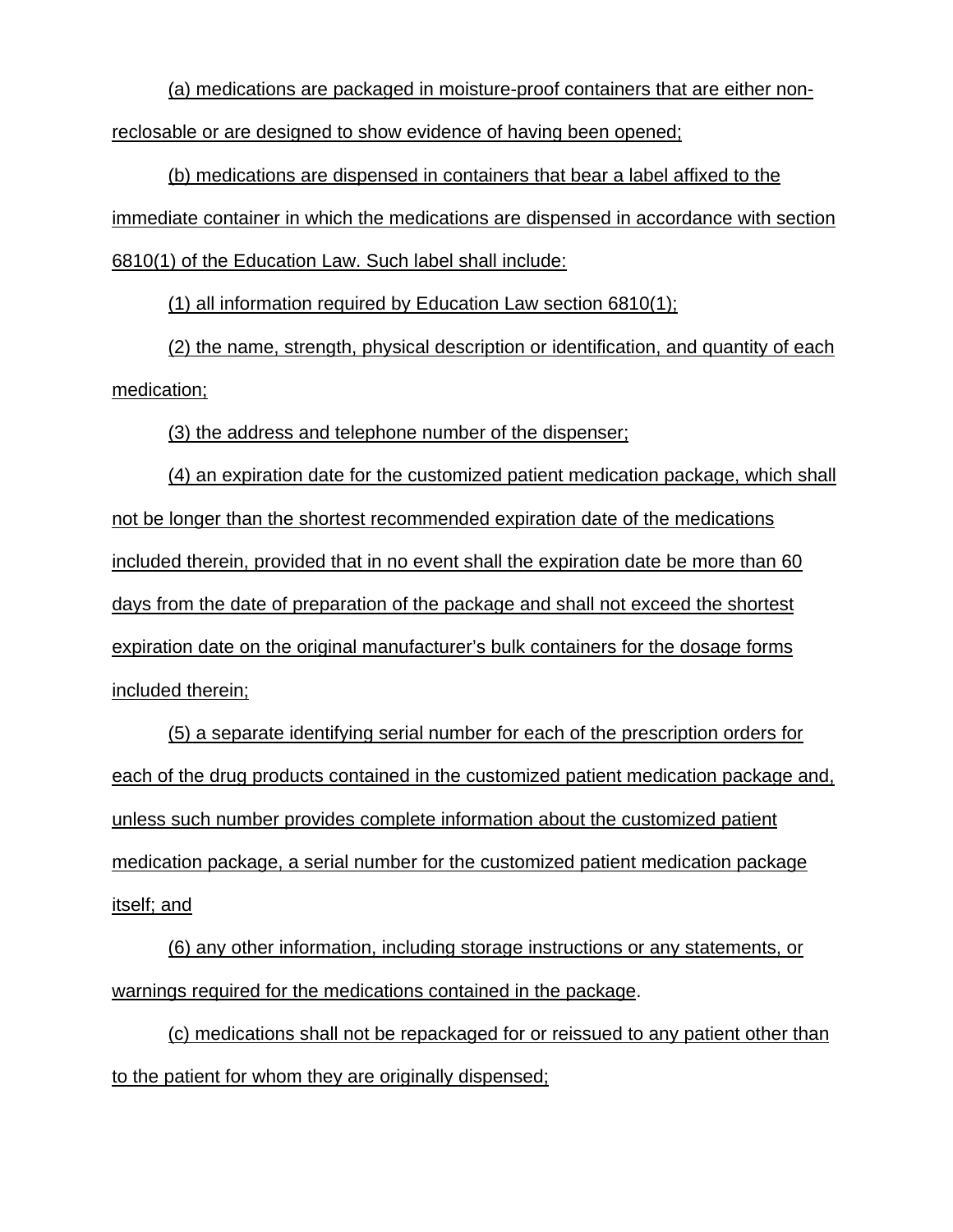(a) medications are packaged in moisture-proof containers that are either nonreclosable or are designed to show evidence of having been opened;

(b) medications are dispensed in containers that bear a label affixed to the immediate container in which the medications are dispensed in accordance with section 6810(1) of the Education Law. Such label shall include:

(1) all information required by Education Law section 6810(1);

(2) the name, strength, physical description or identification, and quantity of each medication;

(3) the address and telephone number of the dispenser;

(4) an expiration date for the customized patient medication package, which shall not be longer than the shortest recommended expiration date of the medications included therein, provided that in no event shall the expiration date be more than 60 days from the date of preparation of the package and shall not exceed the shortest expiration date on the original manufacturer's bulk containers for the dosage forms included therein;

(5) a separate identifying serial number for each of the prescription orders for each of the drug products contained in the customized patient medication package and, unless such number provides complete information about the customized patient medication package, a serial number for the customized patient medication package itself; and

(6) any other information, including storage instructions or any statements, or warnings required for the medications contained in the package.

(c) medications shall not be repackaged for or reissued to any patient other than to the patient for whom they are originally dispensed;